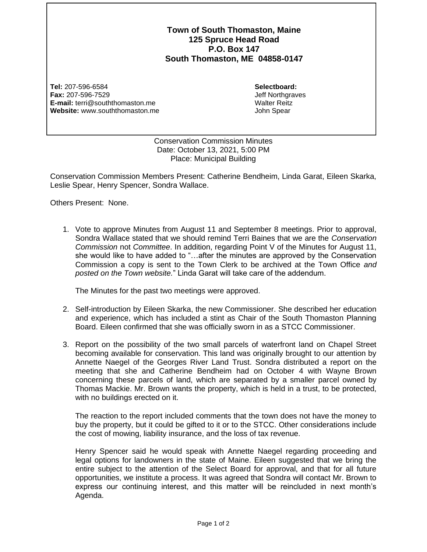**Town of South Thomaston, Maine 125 Spruce Head Road P.O. Box 147 South Thomaston, ME 04858-0147**

**Tel:** 207-596-6584 **Fax:** 207-596-7529 **E-mail:** terri@souththomaston.me **Website:** www.souththomaston.me

**Selectboard:** Jeff Northgraves Walter Reitz John Spear

Conservation Commission Minutes Date: October 13, 2021, 5:00 PM Place: Municipal Building

Conservation Commission Members Present: Catherine Bendheim, Linda Garat, Eileen Skarka, Leslie Spear, Henry Spencer, Sondra Wallace.

Others Present: None.

1. Vote to approve Minutes from August 11 and September 8 meetings. Prior to approval, Sondra Wallace stated that we should remind Terri Baines that we are the *Conservation Commission* not *Committee*. In addition, regarding Point V of the Minutes for August 11, she would like to have added to "…after the minutes are approved by the Conservation Commission a copy is sent to the Town Clerk to be archived at the Town Office *and posted on the Town website.*" Linda Garat will take care of the addendum.

The Minutes for the past two meetings were approved.

- 2. Self-introduction by Eileen Skarka, the new Commissioner. She described her education and experience, which has included a stint as Chair of the South Thomaston Planning Board. Eileen confirmed that she was officially sworn in as a STCC Commissioner.
- 3. Report on the possibility of the two small parcels of waterfront land on Chapel Street becoming available for conservation. This land was originally brought to our attention by Annette Naegel of the Georges River Land Trust. Sondra distributed a report on the meeting that she and Catherine Bendheim had on October 4 with Wayne Brown concerning these parcels of land, which are separated by a smaller parcel owned by Thomas Mackie. Mr. Brown wants the property, which is held in a trust, to be protected, with no buildings erected on it.

The reaction to the report included comments that the town does not have the money to buy the property, but it could be gifted to it or to the STCC. Other considerations include the cost of mowing, liability insurance, and the loss of tax revenue.

Henry Spencer said he would speak with Annette Naegel regarding proceeding and legal options for landowners in the state of Maine. Eileen suggested that we bring the entire subject to the attention of the Select Board for approval, and that for all future opportunities, we institute a process. It was agreed that Sondra will contact Mr. Brown to express our continuing interest, and this matter will be reincluded in next month's Agenda.